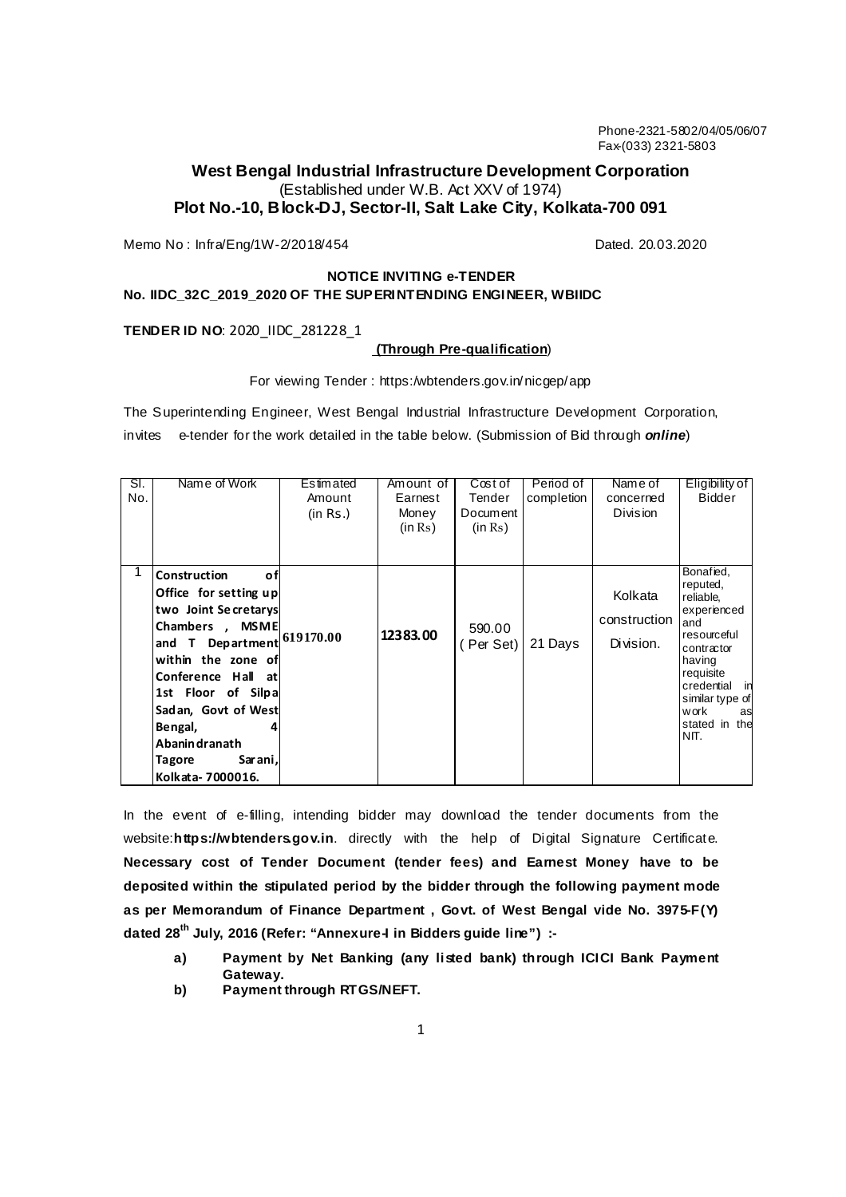Phone-2321-5802/04/05/06/07 Fax-(033) 2321-5803

# **West Bengal Industrial Infrastructure Development Corporation**  (Established under W.B. Act XXV of 1974) **Plot No.-10, Block-DJ, Sector-II, Salt Lake City, Kolkata-700 091**

Memo No : Infra/Eng/1W-2/2018/454 data distributed by the control of Dated. 20.03.2020

## **NOTICE INVITING e-TENDER No. IIDC\_32C\_2019\_2020 OF THE SUPERINTENDING ENGINEER, WBIIDC**

**TENDER ID NO**: 2020\_IIDC\_281228\_1

Ξ

### **(Through Pre-qualification**)

For viewing Tender : https:/wbtenders.gov.in/nicgep/app

The Superintending Engineer, West Bengal Industrial Infrastructure Development Corporation, invites e-tender for the work detailed in the table below. (Submission of Bid through **online**)

| SI.<br>No. | Name of Work                                                                                                                                                                                                                                                                                                  | Estimated<br>Amount<br>(in Rs.) | Amount of<br>Earnest<br>Money<br>(in Rs) | Cost of<br>Tender<br>Document<br>(in Rs) | Period of<br>completion | Name of<br>concerned<br><b>Division</b> | Eligibility of<br>Bidder                                                                                                                                                                   |
|------------|---------------------------------------------------------------------------------------------------------------------------------------------------------------------------------------------------------------------------------------------------------------------------------------------------------------|---------------------------------|------------------------------------------|------------------------------------------|-------------------------|-----------------------------------------|--------------------------------------------------------------------------------------------------------------------------------------------------------------------------------------------|
|            | <b>Construction</b><br>οf<br>Office for setting up<br>two Joint Secretarys<br>Chambers, MSME<br>and T Department $ ^{619170.00}$<br>within the zone of<br>Conference Hall at<br>1st Floor of Silpa<br>Sadan, Govt of West<br>Bengal,<br><b>Abanin dranath</b><br>Sarani,<br><b>Tagore</b><br>Kolkata-7000016. |                                 | 12383.00                                 | 590.00<br>(Per Set)                      | 21 Days                 | Kolkata<br>construction<br>Division.    | Bonafied,<br>reputed,<br>reliable,<br>experienced<br>and<br>resourceful<br>contractor<br>having<br>requisite<br>credential in<br>similar type of<br>work<br>as<br>stated in<br>the<br>NIT. |

In the event of e-filling, intending bidder may download the tender documents from the website:https://wbtenders.gov.in. directly with the help of Digital Signature Certificate. **Necessary cost of Tender Document (tender fees) and Earnest Money have to be deposited within the stipulated period by the bidder through the following payment mode as per Memorandum of Finance Department , Govt. of West Bengal vide No. 3975-F(Y) dated 28th July, 2016 (Refer: "Annexure-I in Bidders guide line") :-** 

- **a) Payment by Net Banking (any listed bank) through ICICI Bank Payment Gateway.**
- **b) Payment through RTGS/NEFT.**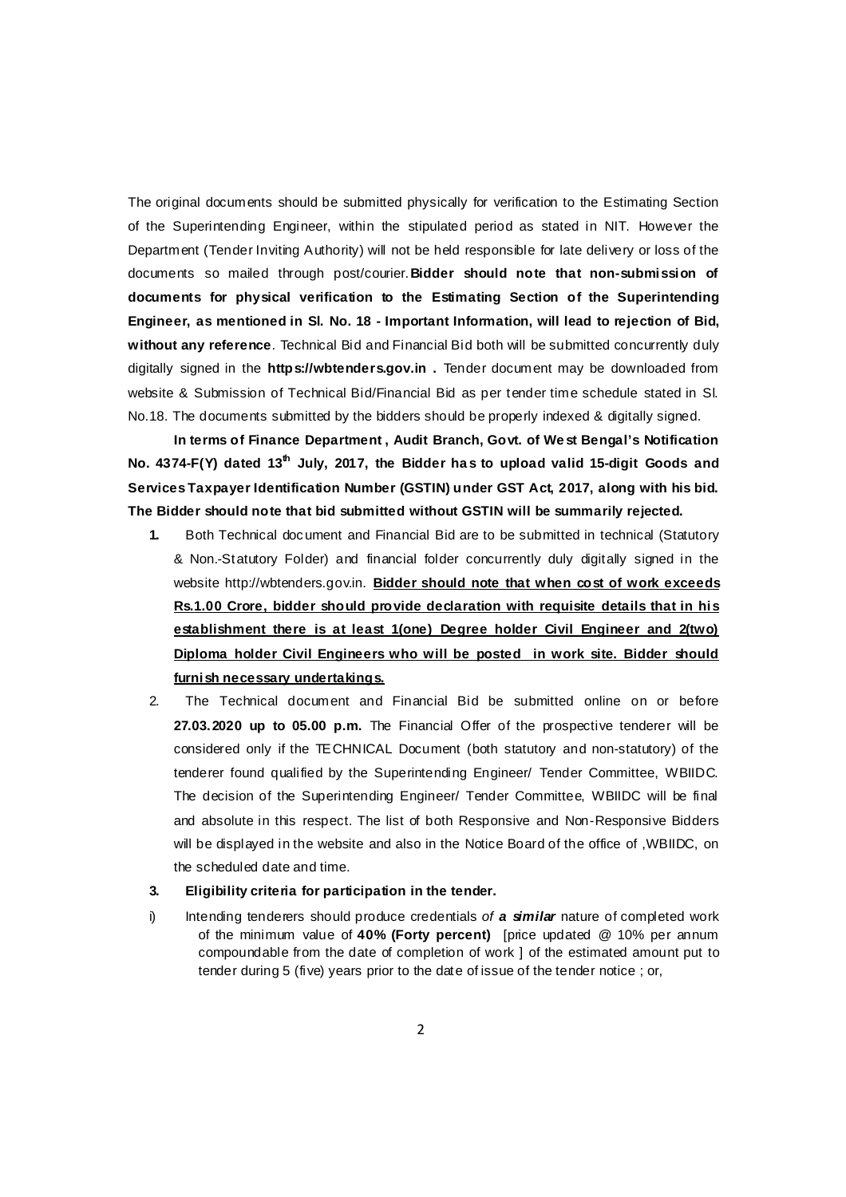The original documents should be submitted physically for verification to the Estimating Section of the Superintending Engineer, within the stipulated period as stated in NIT. However the Department (Tender Inviting Authority) will not be held responsible for late delivery or loss of the documents so mailed through post/courier.**Bidder should note that non-submission of documents for physical verification to the Estimating Section of the Superintending Engineer, as mentioned in Sl. No. 18 - Important Information, will lead to rejection of Bid, without any reference**. Technical Bid and Financial Bid both will be submitted concurrently duly digitally signed in the **https://wbtenders.gov.in .** Tender document may be downloaded from website & Submission of Technical Bid/Financial Bid as per tender time schedule stated in Sl. No.18. The documents submitted by the bidders should be properly indexed & digitally signed.

 **In terms of Finance Department , Audit Branch, Govt. of We st Bengal's Notification No. 4374-F(Y) dated 13th July, 2017, the Bidder ha s to upload valid 15-digit Goods and Services Taxpayer Identification Number (GSTIN) under GST Act, 2017, along with his bid. The Bidder should note that bid submitted without GSTIN will be summarily rejected.** 

- **1.** Both Technical document and Financial Bid are to be submitted in technical (Statutory & Non.-Statutory Folder) and financial folder concurrently duly digitally signed in the website http://wbtenders.gov.in. **Bidder should note that when cost of work exceeds Rs.1.00 Crore, bidder should provide declaration with requisite details that in his**  establishment there is at least 1(one) Degree holder Civil Engineer and 2(two) **Diploma holder Civil Engineers who will be posted in work site. Bidder should furnish necessary undertakings.**
- 2. The Technical document and Financial Bid be submitted online on or before **27.03.2020 up to 05.00 p.m.** The Financial Offer of the prospective tenderer will be considered only if the TECHNICAL Document (both statutory and non-statutory) of the tenderer found qualified by the Superintending Engineer/ Tender Committee, WBIIDC. The decision of the Superintending Engineer/ Tender Committee, WBIIDC will be final and absolute in this respect. The list of both Responsive and Non-Responsive Bidders will be displayed in the website and also in the Notice Board of the office of ,WBIIDC, on the scheduled date and time.

#### **3. Eligibility criteria for participation in the tender.**

i) Intending tenderers should produce credentials of **a similar** nature of completed work of the minimum value of **40% (Forty percent)** [price updated @ 10% per annum compoundable from the date of completion of work ] of the estimated amount put to tender during 5 (five) years prior to the date of issue of the tender notice ; or,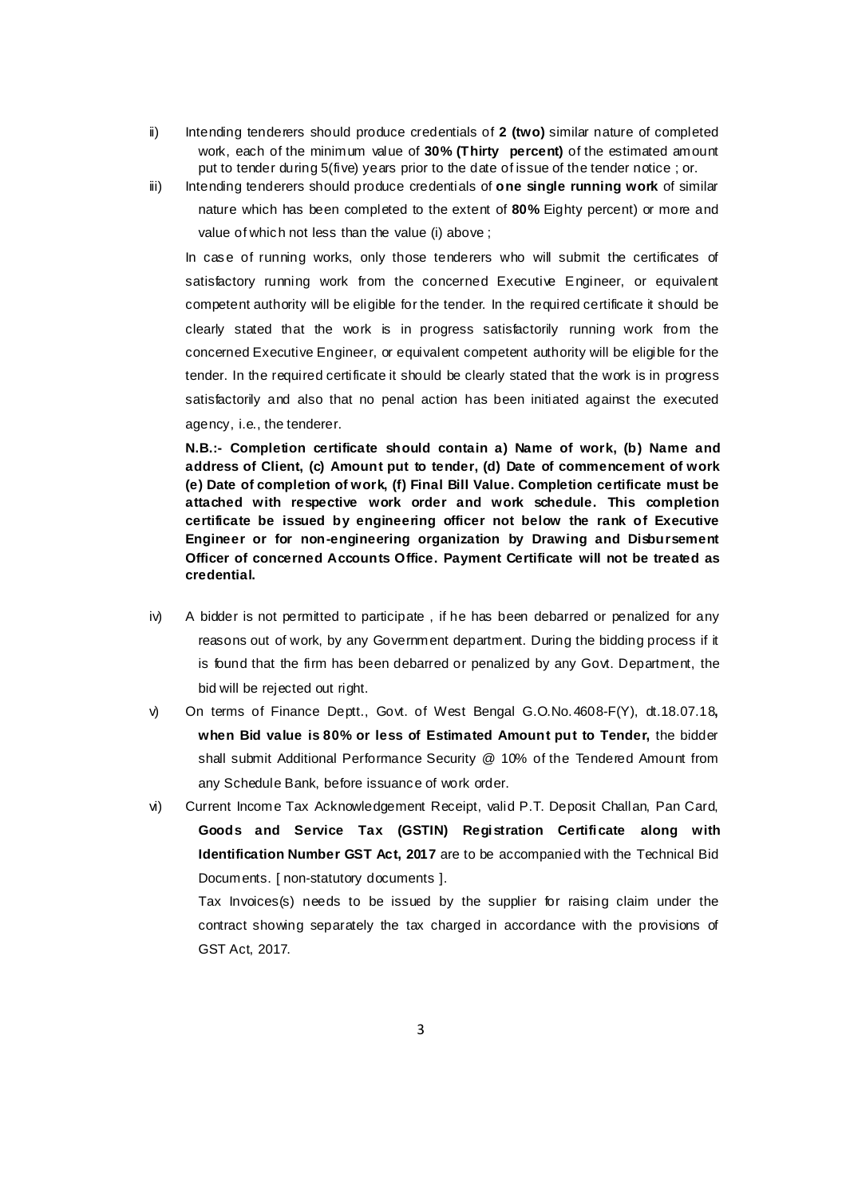- ii) Intending tenderers should produce credentials of **2 (two)** similar nature of completed work, each of the minimum value of **30% (Thirty percent)** of the estimated amount put to tender during 5(five) years prior to the date of issue of the tender notice ; or.
- iii) Intending tenderers should produce credentials of **one single running work** of similar nature which has been completed to the extent of **80%** Eighty percent) or more and value of which not less than the value (i) above ;

In case of running works, only those tenderers who will submit the certificates of satisfactory running work from the concerned Executive Engineer, or equivalent competent authority will be eligible for the tender. In the required certificate it should be clearly stated that the work is in progress satisfactorily running work from the concerned Executive Engineer, or equivalent competent authority will be eligible for the tender. In the required certificate it should be clearly stated that the work is in progress satisfactorily and also that no penal action has been initiated against the executed agency, i.e., the tenderer.

**N.B.:- Completion certificate should contain a) Name of work, (b) Name and address of Client, (c) Amount put to tender, (d) Date of commencement of work (e) Date of completion of work, (f) Final Bill Value. Completion certificate must be attached with respective work order and work schedule. This completion certificate be issued by engineering officer not below the rank of Executive Engineer or for non-engineering organization by Drawing and Disbursement Officer of concerned Accounts Office. Payment Certificate will not be treated as credential.** 

- iv) A bidder is not permitted to participate , if he has been debarred or penalized for any reasons out of work, by any Government department. During the bidding process if it is found that the firm has been debarred or penalized by any Govt. Department, the bid will be rejected out right.
- v) On terms of Finance Deptt., Govt. of West Bengal G.O.No.4608-F(Y), dt.18.07.18**, when Bid value is 80% or less of Estimated Amount put to Tender,** the bidder shall submit Additional Performance Security @ 10% of the Tendered Amount from any Schedule Bank, before issuance of work order.
- vi) Current Income Tax Acknowledgement Receipt, valid P.T. Deposit Challan, Pan Card, **Goods and Service Tax (GSTIN) Registration Certificate along with Identification Number GST Act, 2017** are to be accompanied with the Technical Bid Documents. [ non-statutory documents ].

Tax Invoices(s) needs to be issued by the supplier for raising claim under the contract showing separately the tax charged in accordance with the provisions of GST Act, 2017.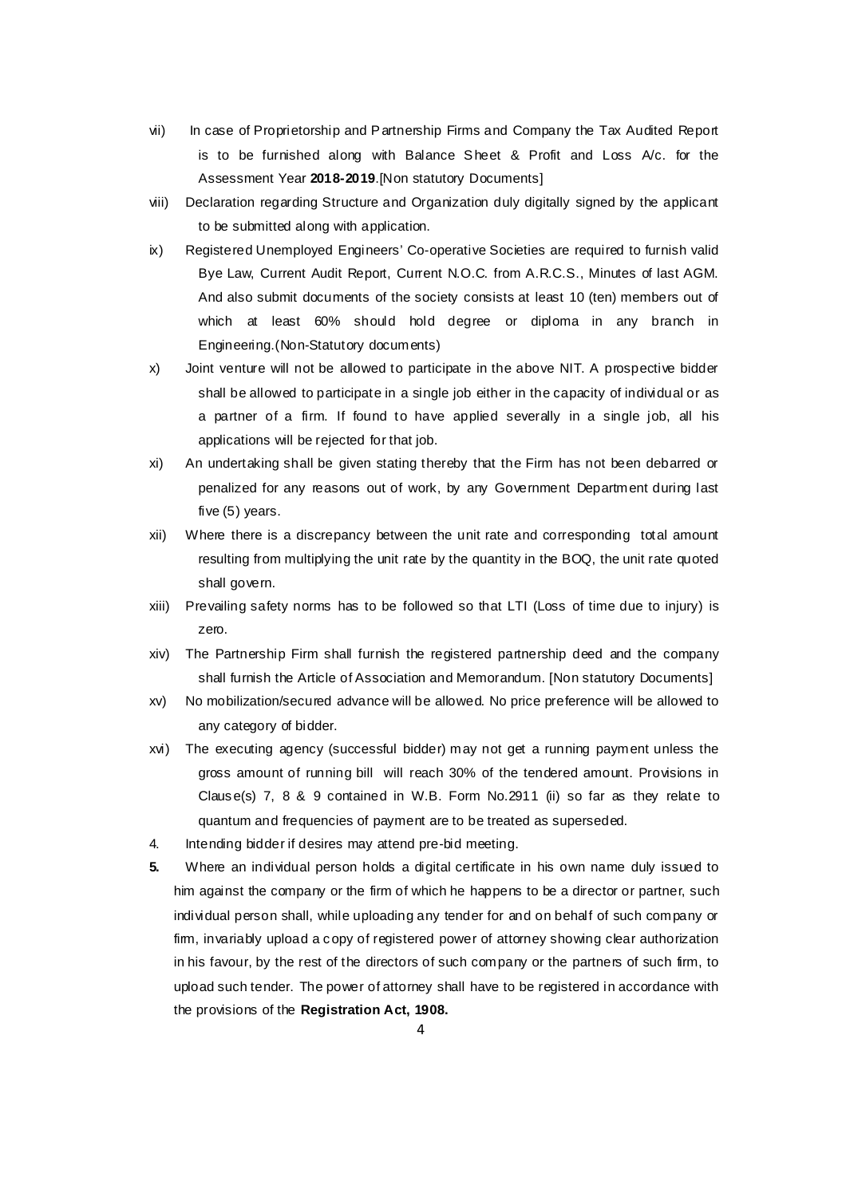- vii) In case of Proprietorship and Partnership Firms and Company the Tax Audited Report is to be furnished along with Balance Sheet & Profit and Loss A/c. for the Assessment Year **2018-2019**.[Non statutory Documents]
- viii) Declaration regarding Structure and Organization duly digitally signed by the applicant to be submitted along with application.
- ix) Registered Unemployed Engineers' Co-operative Societies are required to furnish valid Bye Law, Current Audit Report, Current N.O.C. from A.R.C.S., Minutes of last AGM. And also submit documents of the society consists at least 10 (ten) members out of which at least 60% should hold degree or diploma in any branch in Engineering.(Non-Statutory documents)
- x) Joint venture will not be allowed to participate in the above NIT. A prospective bidder shall be allowed to participate in a single job either in the capacity of individual or as a partner of a firm. If found to have applied severally in a single job, all his applications will be rejected for that job.
- xi) An undertaking shall be given stating thereby that the Firm has not been debarred or penalized for any reasons out of work, by any Government Department during last five (5) years.
- xii) Where there is a discrepancy between the unit rate and corresponding total amount resulting from multiplying the unit rate by the quantity in the BOQ, the unit rate quoted shall govern.
- xiii) Prevailing safety norms has to be followed so that LTI (Loss of time due to injury) is zero.
- xiv) The Partnership Firm shall furnish the registered partnership deed and the company shall furnish the Article of Association and Memorandum. [Non statutory Documents]
- xv) No mobilization/secured advance will be allowed. No price preference will be allowed to any category of bidder.
- xvi) The executing agency (successful bidder) may not get a running payment unless the gross amount of running bill will reach 30% of the tendered amount. Provisions in Clause(s) 7, 8 & 9 contained in W.B. Form  $No.2911$  (ii) so far as they relate to quantum and frequencies of payment are to be treated as superseded.
- 4. Intending bidder if desires may attend pre-bid meeting.
- **5.** Where an individual person holds a digital certificate in his own name duly issued to him against the company or the firm of which he happens to be a director or partner, such individual person shall, while uploading any tender for and on behalf of such company or firm, invariably upload a copy of registered power of attorney showing clear authorization in his favour, by the rest of the directors of such company or the partners of such firm, to upload such tender. The power of attorney shall have to be registered in accordance with the provisions of the **Registration Act, 1908.**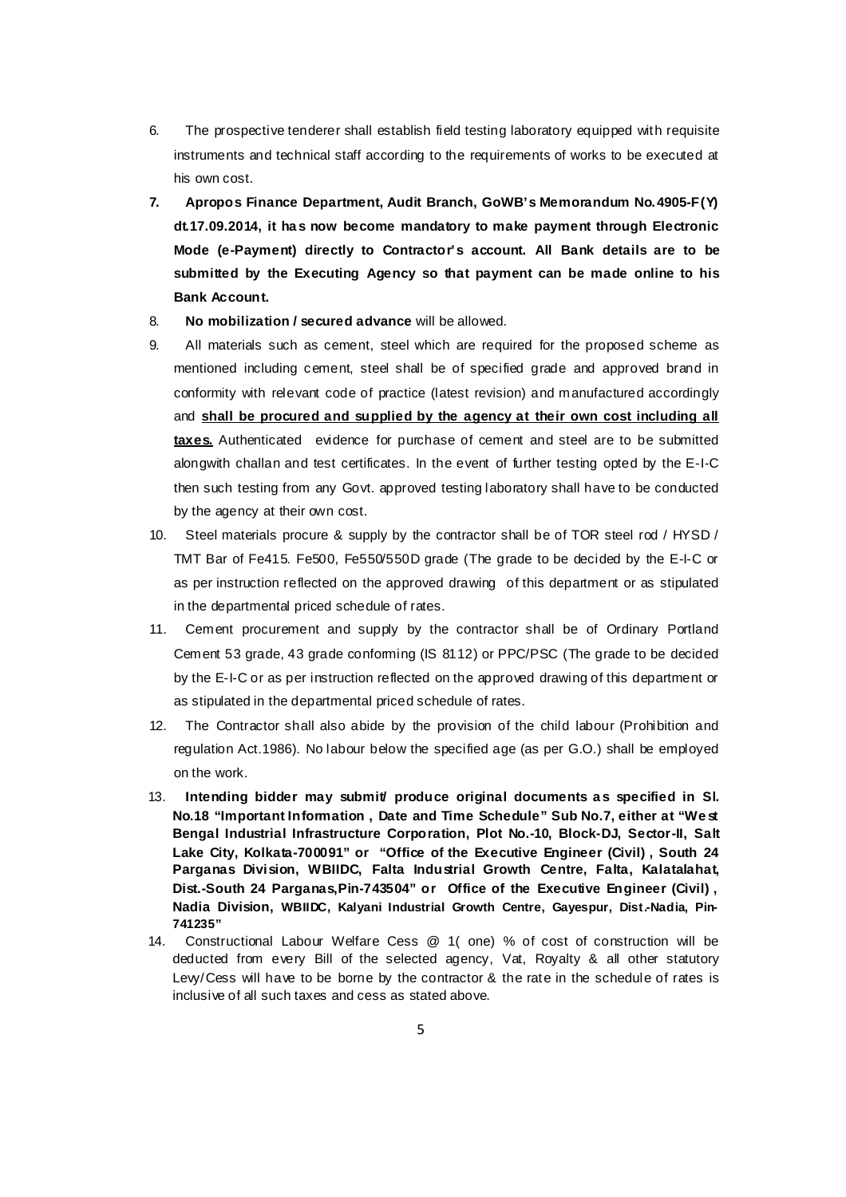- 6. The prospective tenderer shall establish field testing laboratory equipped with requisite instruments and technical staff according to the requirements of works to be executed at his own cost.
- **7. Apropos Finance Department, Audit Branch, GoWB's Memorandum No.4905-F(Y) dt.17.09.2014, it ha s now become mandatory to make payment through Electronic Mode (e-Payment) directly to Contractor's account. All Bank details are to be submitted by the Executing Agency so that payment can be made online to his Bank Account.**
- 8. **No mobilization / secured advance** will be allowed.
- 9. All materials such as cement, steel which are required for the proposed scheme as mentioned including cement, steel shall be of specified grade and approved brand in conformity with relevant code of practice (latest revision) and manufactured accordingly and **shall be procured and supplied by the agency at their own cost including all taxes.** Authenticated evidence for purchase of cement and steel are to be submitted alongwith challan and test certificates. In the event of further testing opted by the E-I-C then such testing from any Govt. approved testing laboratory shall have to be conducted by the agency at their own cost.
- 10. Steel materials procure & supply by the contractor shall be of TOR steel rod / HYSD / TMT Bar of Fe415. Fe500, Fe550/550D grade (The grade to be decided by the E-I-C or as per instruction reflected on the approved drawing of this department or as stipulated in the departmental priced schedule of rates.
- 11. Cement procurement and supply by the contractor shall be of Ordinary Portland Cement 53 grade, 43 grade conforming (IS 8112) or PPC/PSC (The grade to be decided by the E-I-C or as per instruction reflected on the approved drawing of this department or as stipulated in the departmental priced schedule of rates.
- 12. The Contractor shall also abide by the provision of the child labour (Prohibition and regulation Act.1986). No labour below the specified age (as per G.O.) shall be employed on the work.
- 13. **Intending bidder may submit produce original documents as specified in SI. No.18 "Important Information , Date and Time Schedule" Sub No.7, either at "We st Bengal Industrial Infrastructure Corporation, Plot No.-10, Block-DJ, Sector-II, Salt Lake City, Kolkata-700091" or "Office of the Executive Engineer (Civil) , South 24 Parganas Division, WBIIDC, Falta Industrial Growth Centre, Falta, Kalatalahat, Dist.-South 24 Parganas,Pin-743504" or Office of the Executive Engineer (Civil) , Nadia Division, WBIIDC, Kalyani Industrial Growth Centre, Gayespur, Dist.-Nadia, Pin-741235"**
- 14. Constructional Labour Welfare Cess @ 1( one) % of cost of construction will be deducted from every Bill of the selected agency, Vat, Royalty & all other statutory Levy/Cess will have to be borne by the contractor & the rate in the schedule of rates is inclusive of all such taxes and cess as stated above.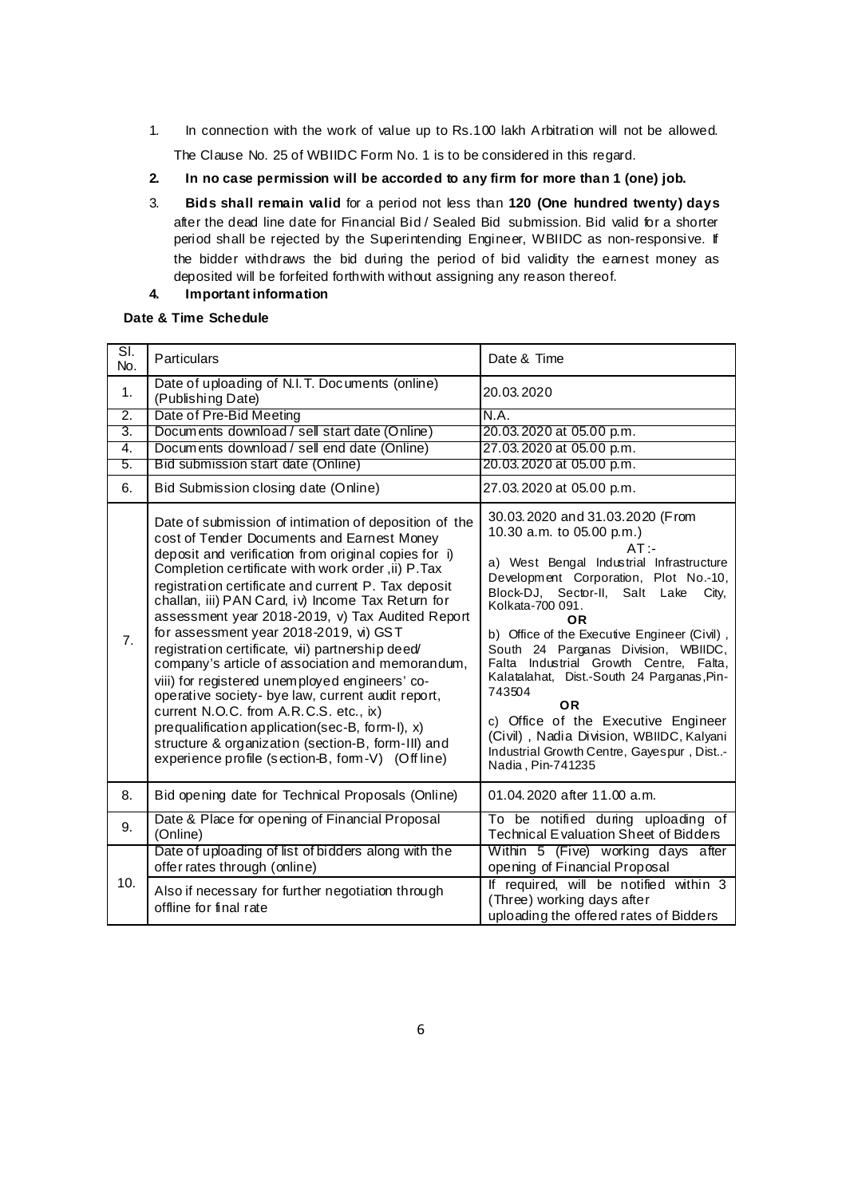- 1. In connection with the work of value up to Rs.100 lakh Arbitration will not be allowed. The Clause No. 25 of WBIIDC Form No. 1 is to be considered in this regard.
- **2. In no case permission will be accorded to any firm for more than 1 (one) job.**
- 3. **Bids shall remain valid** for a period not less than **120 (One hundred twenty) days** after the dead line date for Financial Bid / Sealed Bid submission. Bid valid for a shorter period shall be rejected by the Superintending Engineer, WBIIDC as non-responsive. If the bidder withdraws the bid during the period of bid validity the earnest money as deposited will be forfeited forthwith without assigning any reason thereof.
- **4. Important information**

# **Date & Time Schedule**

| $\overline{\text{SI}}$<br>No. | Particulars                                                                                                                                                                                                                                                                                                                                                                                                                                                                                                                                                                                                                                                                                                                                                                                                                                        | Date & Time                                                                                                                                                                                                                                                                                                                                                                                                                                                                                                                                                                                           |  |  |
|-------------------------------|----------------------------------------------------------------------------------------------------------------------------------------------------------------------------------------------------------------------------------------------------------------------------------------------------------------------------------------------------------------------------------------------------------------------------------------------------------------------------------------------------------------------------------------------------------------------------------------------------------------------------------------------------------------------------------------------------------------------------------------------------------------------------------------------------------------------------------------------------|-------------------------------------------------------------------------------------------------------------------------------------------------------------------------------------------------------------------------------------------------------------------------------------------------------------------------------------------------------------------------------------------------------------------------------------------------------------------------------------------------------------------------------------------------------------------------------------------------------|--|--|
| 1.                            | Date of uploading of N.I.T. Documents (online)<br>(Publishing Date)                                                                                                                                                                                                                                                                                                                                                                                                                                                                                                                                                                                                                                                                                                                                                                                | 20.03.2020                                                                                                                                                                                                                                                                                                                                                                                                                                                                                                                                                                                            |  |  |
| $\overline{2}$ .              | Date of Pre-Bid Meeting                                                                                                                                                                                                                                                                                                                                                                                                                                                                                                                                                                                                                                                                                                                                                                                                                            | N.A.                                                                                                                                                                                                                                                                                                                                                                                                                                                                                                                                                                                                  |  |  |
| 3.                            | Documents download / sell start date (Online)                                                                                                                                                                                                                                                                                                                                                                                                                                                                                                                                                                                                                                                                                                                                                                                                      | 20.03.2020 at 05.00 p.m.                                                                                                                                                                                                                                                                                                                                                                                                                                                                                                                                                                              |  |  |
| 4.                            | Documents download / sell end date (Online)                                                                                                                                                                                                                                                                                                                                                                                                                                                                                                                                                                                                                                                                                                                                                                                                        | 27.03.2020 at 05.00 p.m.                                                                                                                                                                                                                                                                                                                                                                                                                                                                                                                                                                              |  |  |
| 5.                            | Bid submission start date (Online)                                                                                                                                                                                                                                                                                                                                                                                                                                                                                                                                                                                                                                                                                                                                                                                                                 | 20.03.2020 at 05.00 p.m.                                                                                                                                                                                                                                                                                                                                                                                                                                                                                                                                                                              |  |  |
| 6.                            | Bid Submission closing date (Online)                                                                                                                                                                                                                                                                                                                                                                                                                                                                                                                                                                                                                                                                                                                                                                                                               | 27.03.2020 at 05.00 p.m.                                                                                                                                                                                                                                                                                                                                                                                                                                                                                                                                                                              |  |  |
| 7 <sub>1</sub>                | Date of submission of intimation of deposition of the<br>cost of Tender Documents and Earnest Money<br>deposit and verification from original copies for i)<br>Completion certificate with work order, ii) P. Tax<br>registration certificate and current P. Tax deposit<br>challan, iii) PAN Card, iv) Income Tax Return for<br>assessment year 2018-2019, v) Tax Audited Report<br>for assessment year 2018-2019, vi) GST<br>registration certificate, vii) partnership deed/<br>company's article of association and memorandum,<br>viii) for registered unemployed engineers' co-<br>operative society- bye law, current audit report,<br>current N.O.C. from A.R.C.S. etc., ix)<br>prequalification application(sec-B, form-I), x)<br>structure & organization (section-B, form-III) and<br>experience profile (section-B, form-V) (Off line) | 30.03.2020 and 31.03.2020 (From<br>10.30 a.m. to 05.00 p.m.)<br>$AT -$<br>a) West Bengal Industrial Infrastructure<br>Development Corporation, Plot No.-10,<br>Block-DJ, Sector-II,<br>Salt Lake<br>City,<br>Kolkata-700 091.<br><b>OR</b><br>b) Office of the Executive Engineer (Civil),<br>South 24 Parganas Division, WBIIDC,<br>Falta Industrial Growth Centre, Falta,<br>Kalatalahat, Dist.-South 24 Parganas, Pin-<br>743504<br><b>OR</b><br>c) Office of the Executive Engineer<br>(Civil), Nadia Division, WBIIDC, Kalyani<br>Industrial Growth Centre, Gayespur, Dist-<br>Nadia, Pin-741235 |  |  |
| 8.                            | Bid opening date for Technical Proposals (Online)                                                                                                                                                                                                                                                                                                                                                                                                                                                                                                                                                                                                                                                                                                                                                                                                  | 01.04.2020 after 11.00 a.m.                                                                                                                                                                                                                                                                                                                                                                                                                                                                                                                                                                           |  |  |
| 9.                            | Date & Place for opening of Financial Proposal<br>(Online)                                                                                                                                                                                                                                                                                                                                                                                                                                                                                                                                                                                                                                                                                                                                                                                         | To be notified during uploading of<br>Technical Evaluation Sheet of Bidders                                                                                                                                                                                                                                                                                                                                                                                                                                                                                                                           |  |  |
| 10.                           | Date of uploading of list of bidders along with the<br>offer rates through (online)                                                                                                                                                                                                                                                                                                                                                                                                                                                                                                                                                                                                                                                                                                                                                                | Within 5 (Five) working days after<br>opening of Financial Proposal                                                                                                                                                                                                                                                                                                                                                                                                                                                                                                                                   |  |  |
|                               | Also if necessary for further negotiation through<br>offline for final rate                                                                                                                                                                                                                                                                                                                                                                                                                                                                                                                                                                                                                                                                                                                                                                        | If required, will be notified within 3<br>(Three) working days after<br>uploading the offered rates of Bidders                                                                                                                                                                                                                                                                                                                                                                                                                                                                                        |  |  |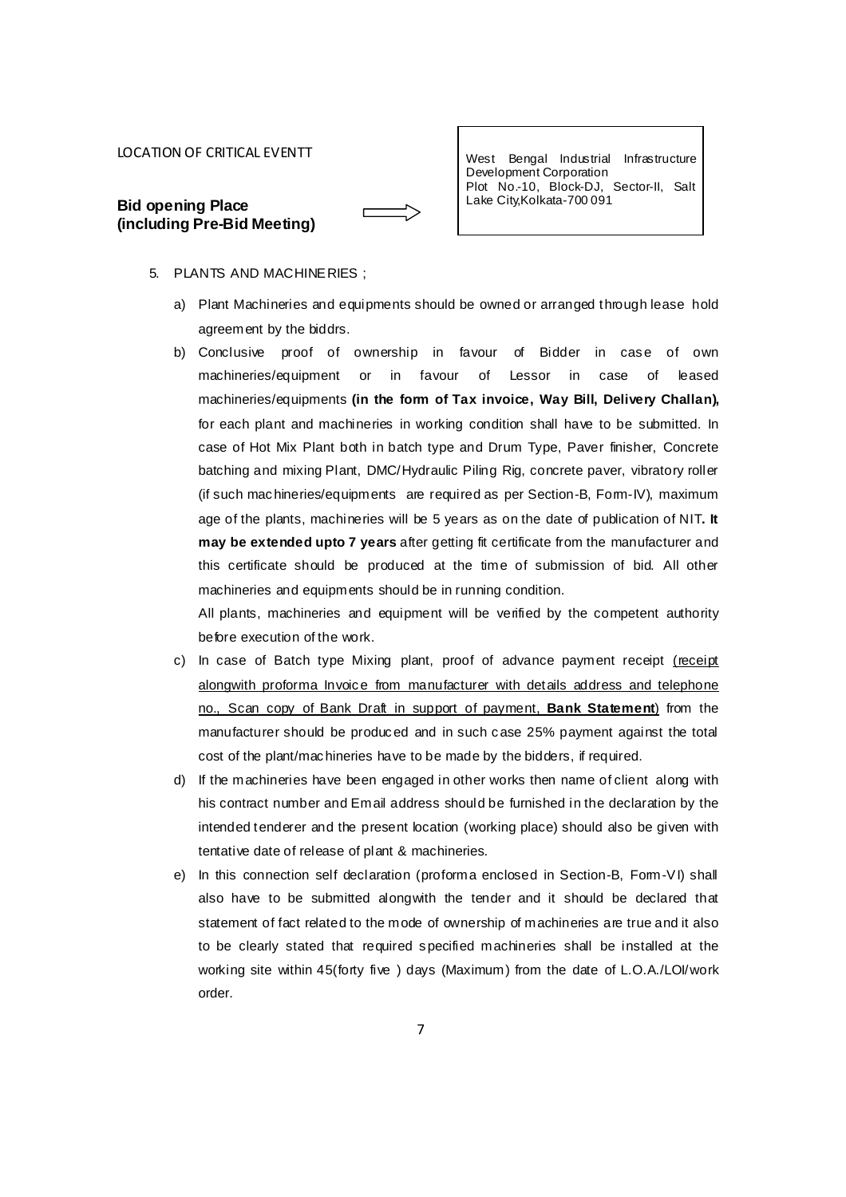#### LOCATION OF CRITICAL EVENTT

| <b>Bid opening Place</b> |                             |
|--------------------------|-----------------------------|
|                          | (including Pre-Bid Meeting) |

West Bengal Industrial Infrastructure Development Corporation Plot No.-10, Block-DJ, Sector-II, Salt Lake City,Kolkata-700 091

- 5. PLANTS AND MACHINERIES ;
	- a) Plant Machineries and equipments should be owned or arranged through lease hold agreement by the biddrs.
	- b) Conclusive proof of ownership in favour of Bidder in case of own machineries/equipment or in favour of Lessor in case of leased machineries/equipments **(in the form of Tax invoice, Way Bill, Delivery Challan),**  for each plant and machineries in working condition shall have to be submitted. In case of Hot Mix Plant both in batch type and Drum Type, Paver finisher, Concrete batching and mixing Plant, DMC/Hydraulic Piling Rig, concrete paver, vibratory roller (if such machineries/equipments are required as per Section-B, Form-IV), maximum age of the plants, machineries will be 5 years as on the date of publication of NIT**. It may be extended upto 7 years** after getting fit certificate from the manufacturer and this certificate should be produced at the time of submission of bid. All other machineries and equipments should be in running condition.

All plants, machineries and equipment will be verified by the competent authority before execution of the work.

- c) In case of Batch type Mixing plant, proof of advance payment receipt (receipt alongwith proforma Invoice from manufacturer with details address and telephone no., Scan copy of Bank Draft in support of payment, **Bank Statement**) from the manufacturer should be produced and in such case 25% payment against the total cost of the plant/machineries have to be made by the bidders, if required.
- d) If the machineries have been engaged in other works then name of client along with his contract number and Email address should be furnished in the declaration by the intended tenderer and the present location (working place) should also be given with tentative date of release of plant & machineries.
- e) In this connection self declaration (proforma enclosed in Section-B, Form-VI) shall also have to be submitted alongwith the tender and it should be declared that statement of fact related to the mode of ownership of machineries are true and it also to be clearly stated that required specified machineries shall be installed at the working site within 45(forty five ) days (Maximum) from the date of L.O.A./LOI/work order.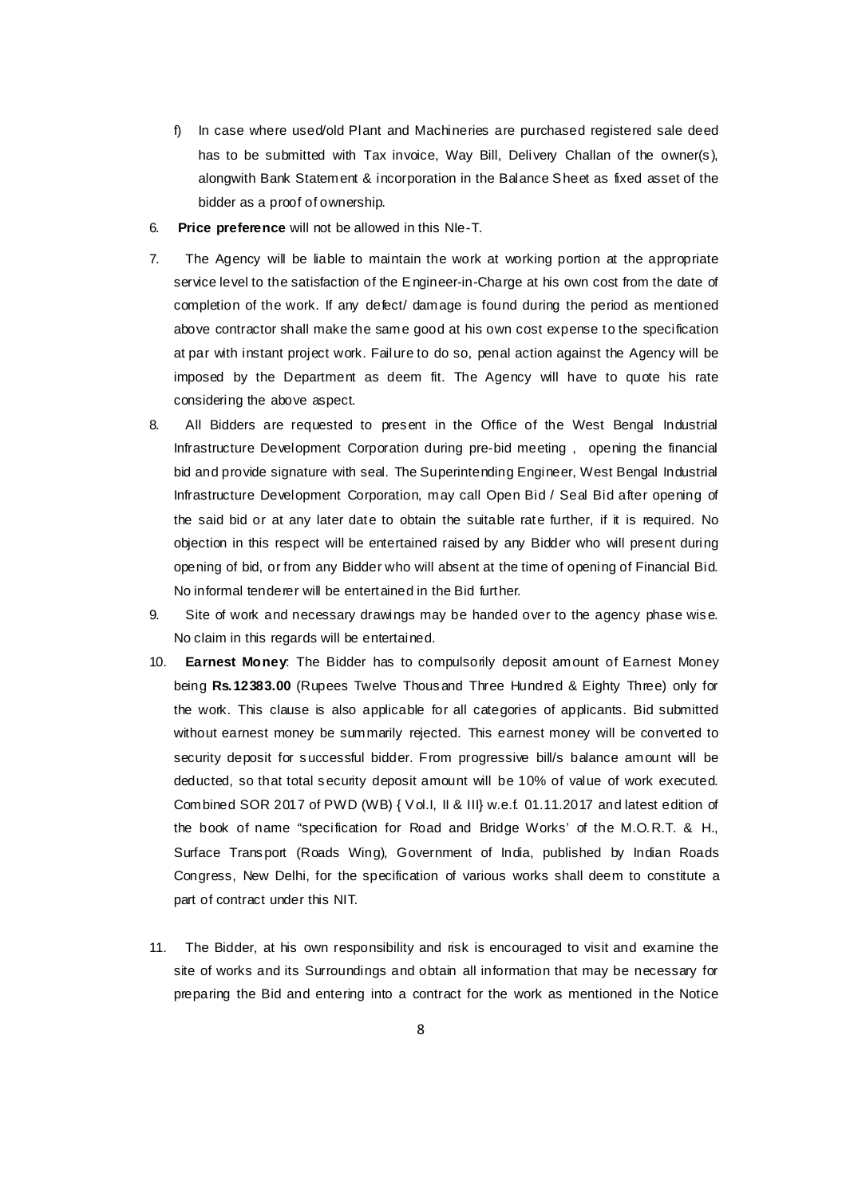- f) In case where used/old Plant and Machineries are purchased registered sale deed has to be submitted with Tax invoice, Way Bill, Delivery Challan of the owner(s), alongwith Bank Statement & incorporation in the Balance Sheet as fixed asset of the bidder as a proof of ownership.
- 6. **Price preference** will not be allowed in this NIe-T.
- 7. The Agency will be liable to maintain the work at working portion at the appropriate service level to the satisfaction of the Engineer-in-Charge at his own cost from the date of completion of the work. If any defect/ damage is found during the period as mentioned above contractor shall make the same good at his own cost expense to the specification at par with instant project work. Failure to do so, penal action against the Agency will be imposed by the Department as deem fit. The Agency will have to quote his rate considering the above aspect.
- 8. All Bidders are requested to present in the Office of the West Bengal Industrial Infrastructure Development Corporation during pre-bid meeting , opening the financial bid and provide signature with seal. The Superintending Engineer, West Bengal Industrial Infrastructure Development Corporation, may call Open Bid / Seal Bid after opening of the said bid or at any later date to obtain the suitable rate further, if it is required. No objection in this respect will be entertained raised by any Bidder who will present during opening of bid, or from any Bidder who will absent at the time of opening of Financial Bid. No informal tenderer will be entertained in the Bid further.
- 9. Site of work and necessary drawings may be handed over to the agency phase wise. No claim in this regards will be entertained.
- 10. **Earnest Money**: The Bidder has to compulsorily deposit amount of Earnest Money being **Rs.12383.00** (Rupees Twelve Thousand Three Hundred & Eighty Three) only for the work. This clause is also applicable for all categories of applicants. Bid submitted without earnest money be summarily rejected. This earnest money will be converted to security deposit for successful bidder. From progressive bill/s balance amount will be deducted, so that total security deposit amount will be 10% of value of work executed. Combined SOR 2017 of PWD (WB) { Vol.I, II & III} w.e.f. 01.11.2017 and latest edition of the book of name "specification for Road and Bridge Works' of the M.O.R.T. & H., Surface Transport (Roads Wing), Government of India, published by Indian Roads Congress, New Delhi, for the specification of various works shall deem to constitute a part of contract under this NIT.
- 11. The Bidder, at his own responsibility and risk is encouraged to visit and examine the site of works and its Surroundings and obtain all information that may be necessary for preparing the Bid and entering into a contract for the work as mentioned in the Notice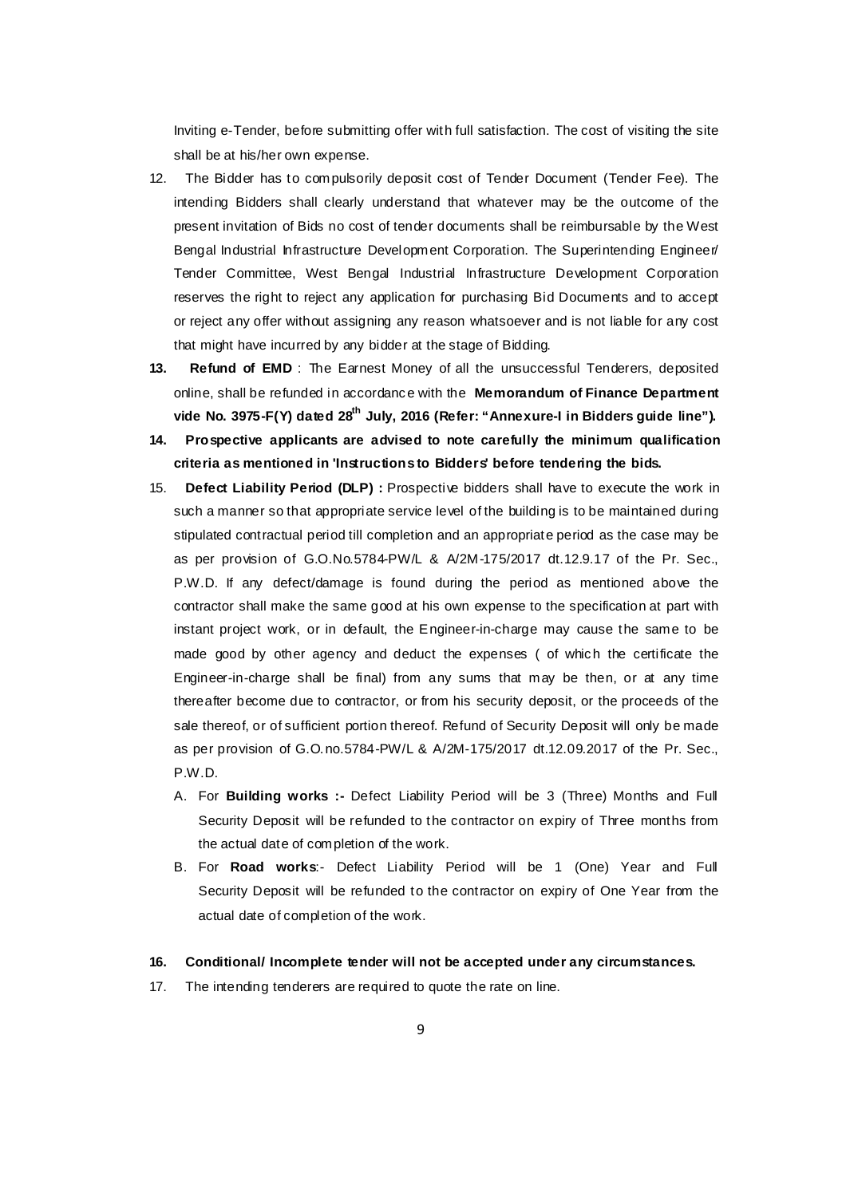Inviting e-Tender, before submitting offer with full satisfaction. The cost of visiting the site shall be at his/her own expense.

- 12. The Bidder has to compulsorily deposit cost of Tender Document (Tender Fee). The intending Bidders shall clearly understand that whatever may be the outcome of the present invitation of Bids no cost of tender documents shall be reimbursable by the West Bengal Industrial Infrastructure Development Corporation. The Superintending Engineer/ Tender Committee, West Bengal Industrial Infrastructure Development Corporation reserves the right to reject any application for purchasing Bid Documents and to accept or reject any offer without assigning any reason whatsoever and is not liable for any cost that might have incurred by any bidder at the stage of Bidding.
- **13. Refund of EMD** : The Earnest Money of all the unsuccessful Tenderers, deposited online, shall be refunded in accordance with the **Memorandum of Finance Department vide No. 3975-F(Y) dated 28th July, 2016 (Refer: "Annexure-I in Bidders guide line").**
- **14. Prospective applicants are advised to note carefully the minimum qualification criteria as mentioned in 'Instructions to Bidders' before tendering the bids.**
- 15. **Defect Liability Period (DLP) :** Prospective bidders shall have to execute the work in such a manner so that appropriate service level of the building is to be maintained during stipulated contractual period till completion and an appropriate period as the case may be as per provision of G.O.No.5784-PW/L & A/2M-175/2017 dt.12.9.17 of the Pr. Sec., P.W.D. If any defect/damage is found during the period as mentioned above the contractor shall make the same good at his own expense to the specification at part with instant project work, or in default, the Engineer-in-charge may cause the same to be made good by other agency and deduct the expenses ( of which the certificate the Engineer-in-charge shall be final) from any sums that may be then, or at any time thereafter become due to contractor, or from his security deposit, or the proceeds of the sale thereof, or of sufficient portion thereof. Refund of Security Deposit will only be made as per provision of G.O.no.5784-PW/L & A/2M-175/2017 dt.12.09.2017 of the Pr. Sec., P.W.D.
	- A. For **Building works :-** Defect Liability Period will be 3 (Three) Months and Full Security Deposit will be refunded to the contractor on expiry of Three months from the actual date of completion of the work.
	- B. For **Road works**:- Defect Liability Period will be 1 (One) Year and Full Security Deposit will be refunded to the contractor on expiry of One Year from the actual date of completion of the work.

## **16. Conditional/ Incomplete tender will not be accepted under any circumstances.**

17. The intending tenderers are required to quote the rate on line.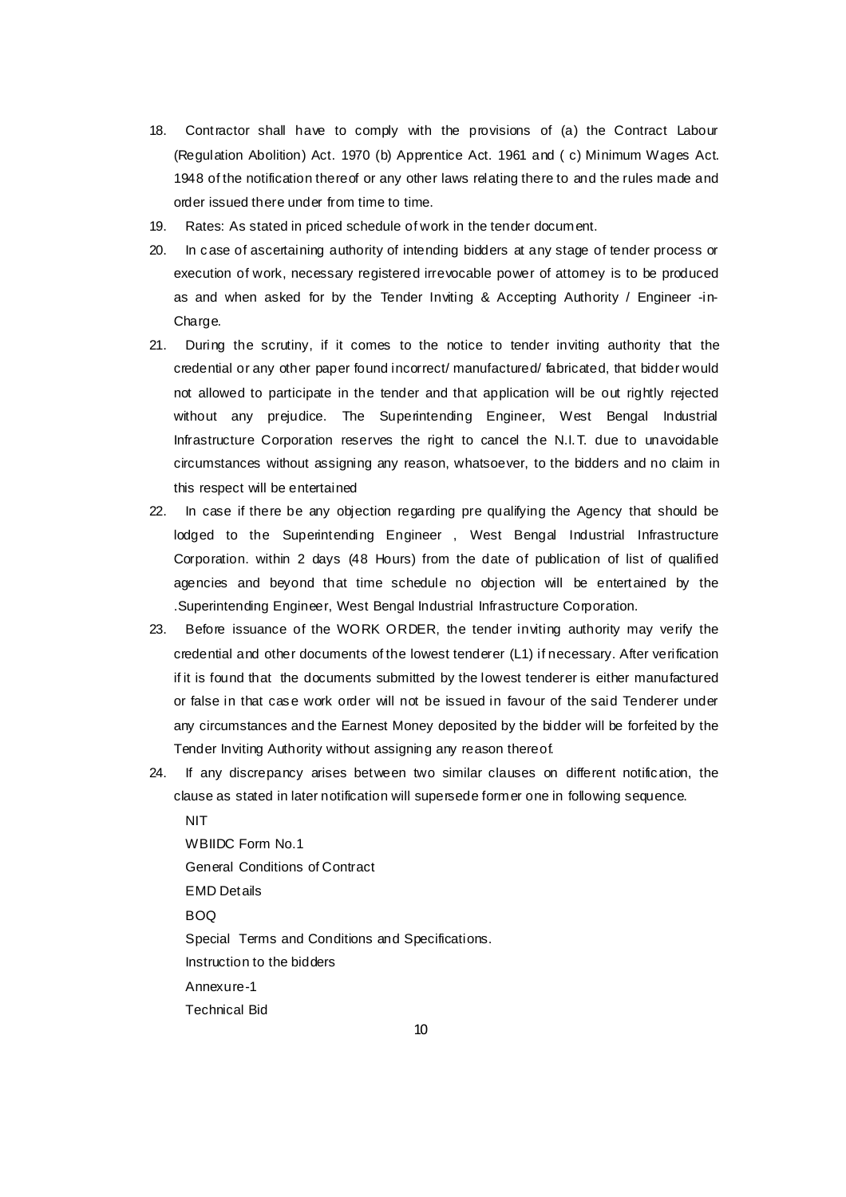- 18. Contractor shall have to comply with the provisions of (a) the Contract Labour (Regulation Abolition) Act. 1970 (b) Apprentice Act. 1961 and ( c) Minimum Wages Act. 1948 of the notification thereof or any other laws relating there to and the rules made and order issued there under from time to time.
- 19. Rates: As stated in priced schedule of work in the tender document.
- 20. In case of ascertaining authority of intending bidders at any stage of tender process or execution of work, necessary registered irrevocable power of attorney is to be produced as and when asked for by the Tender Inviting & Accepting Authority / Engineer -in-Charge.
- 21. During the scrutiny, if it comes to the notice to tender inviting authority that the credential or any other paper found incorrect/ manufactured/ fabricated, that bidder would not allowed to participate in the tender and that application will be out rightly rejected without any prejudice. The Superintending Engineer, West Bengal Industrial Infrastructure Corporation reserves the right to cancel the N.I.T. due to unavoidable circumstances without assigning any reason, whatsoever, to the bidders and no claim in this respect will be entertained
- 22. In case if there be any objection regarding pre qualifying the Agency that should be lodged to the Superintending Engineer , West Bengal Industrial Infrastructure Corporation. within 2 days (48 Hours) from the date of publication of list of qualified agencies and beyond that time schedule no objection will be entertained by the .Superintending Engineer, West Bengal Industrial Infrastructure Corporation.
- 23. Before issuance of the WORK ORDER, the tender inviting authority may verify the credential and other documents of the lowest tenderer (L1) if necessary. After verification if it is found that the documents submitted by the lowest tenderer is either manufactured or false in that case work order will not be issued in favour of the said Tenderer under any circumstances and the Earnest Money deposited by the bidder will be forfeited by the Tender Inviting Authority without assigning any reason thereof.
- 24. If any discrepancy arises between two similar clauses on different notification, the clause as stated in later notification will supersede former one in following sequence.

 NIT WBIIDC Form No.1 General Conditions of Contract EMD Details BOQ Special Terms and Conditions and Specifications. Instruction to the bidders Annexure-1 Technical Bid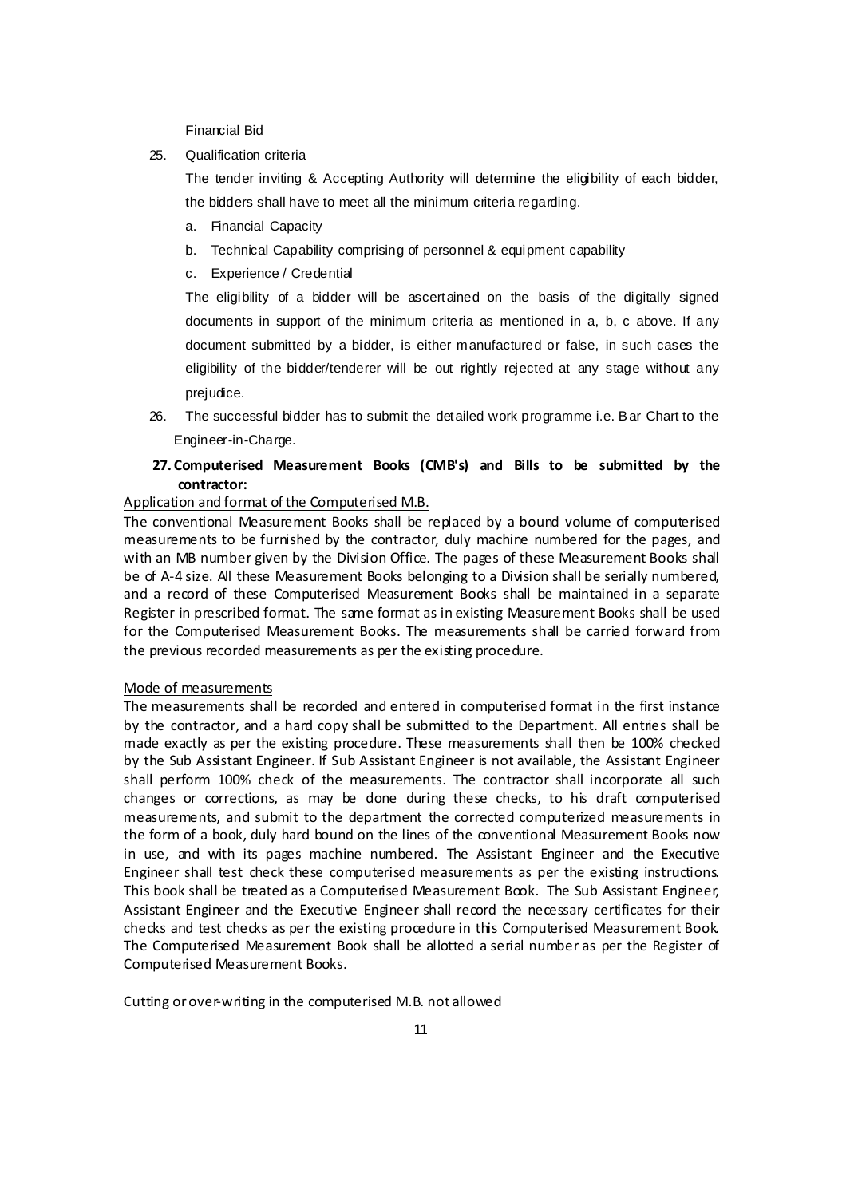Financial Bid

25. Qualification criteria

The tender inviting & Accepting Authority will determine the eligibility of each bidder, the bidders shall have to meet all the minimum criteria regarding.

- a. Financial Capacity
- b. Technical Capability comprising of personnel & equipment capability
- c. Experience / Credential

The eligibility of a bidder will be ascertained on the basis of the digitally signed documents in support of the minimum criteria as mentioned in a, b, c above. If any document submitted by a bidder, is either manufactured or false, in such cases the eligibility of the bidder/tenderer will be out rightly rejected at any stage without any prejudice.

- 26. The successful bidder has to submit the detailed work programme i.e. Bar Chart to the Engineer-in-Charge.
- **27. Computerised Measurement Books (CMB's) and Bills to be submitted by the contractor:**

# Application and format of the Computerised M.B.

The conventional Measurement Books shall be replaced by a bound volume of computerised measurements to be furnished by the contractor, duly machine numbered for the pages, and with an MB number given by the Division Office. The pages of these Measurement Books shall be of A-4 size. All these Measurement Books belonging to a Division shall be serially numbered, and a record of these Computerised Measurement Books shall be maintained in a separate Register in prescribed format. The same format as in existing Measurement Books shall be used for the Computerised Measurement Books. The measurements shall be carried forward from the previous recorded measurements as per the existing procedure.

## Mode of measurements

The measurements shall be recorded and entered in computerised format in the first instance by the contractor, and a hard copy shall be submitted to the Department. All entries shall be made exactly as per the existing procedure. These measurements shall then be 100% checked by the Sub Assistant Engineer. If Sub Assistant Engineer is not available, the Assistant Engineer shall perform 100% check of the measurements. The contractor shall incorporate all such changes or corrections, as may be done during these checks, to his draft computerised measurements, and submit to the department the corrected computerized measurements in the form of a book, duly hard bound on the lines of the conventional Measurement Books now in use, and with its pages machine numbered. The Assistant Engineer and the Executive Engineer shall test check these computerised measurements as per the existing instructions. This book shall be treated as a Computerised Measurement Book. The Sub Assistant Engineer, Assistant Engineer and the Executive Engineer shall record the necessary certificates for their checks and test checks as per the existing procedure in this Computerised Measurement Book. The Computerised Measurement Book shall be allotted a serial number as per the Register of Computerised Measurement Books.

### Cutting or over-writing in the computerised M.B. not allowed